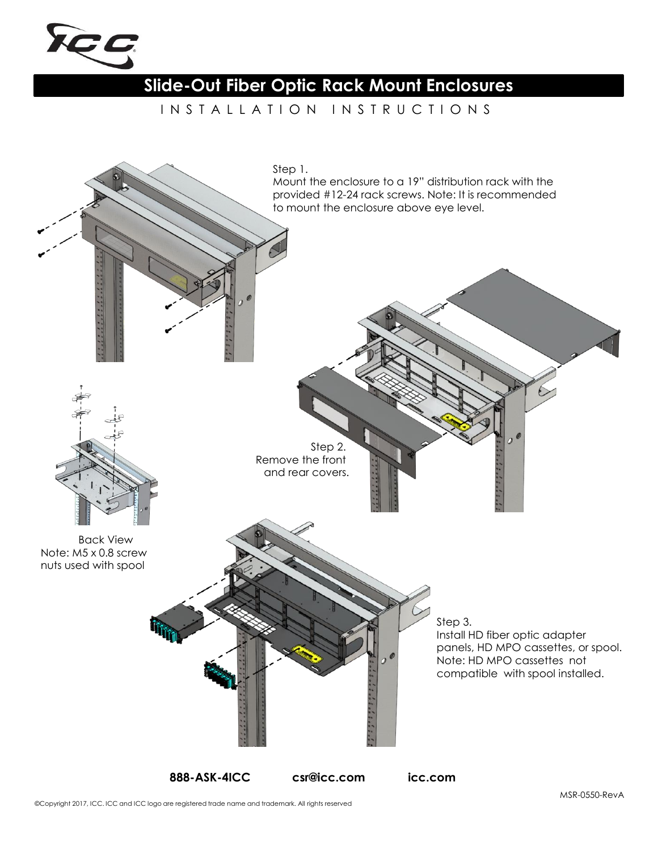

## **Slide-Out Fiber Optic Rack Mount Enclosures**

IN STALLATION IN STRUCTIONS